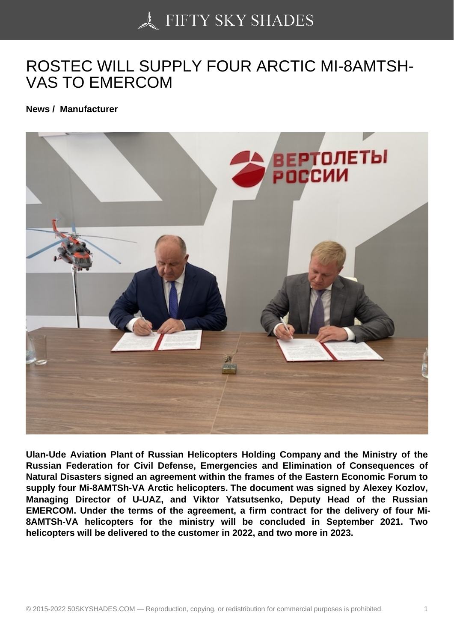## [ROSTEC WILL SUPPL](https://50skyshades.com)Y FOUR ARCTIC MI-8AMTSH-VAS TO EMERCOM

News / Manufacturer

Ulan-Ude Aviation Plant of Russian Helicopters Holding Company and the Ministry of the Russian Federation for Civil Defense, Emergencies and Elimination of Consequences of Natural Disasters signed an agreement within the frames of the Eastern Economic Forum to supply four Mi-8AMTSh-VA Arctic helicopters. The document was signed by Alexey Kozlov, Managing Director of U-UAZ, and Viktor Yatsutsenko, Deputy Head of the Russian EMERCOM. Under the terms of the agreement, a firm contract for the delivery of four Mi-8AMTSh-VA helicopters for the ministry will be concluded in September 2021. Two helicopters will be delivered to the customer in 2022, and two more in 2023.